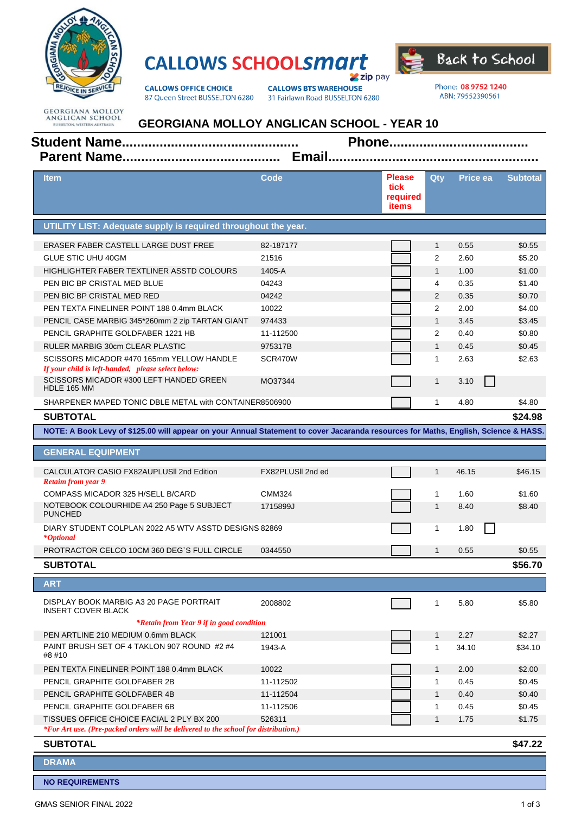

## **CALLOWS SCHOOLSMATT**  $\blacktriangleright$  zip pay



**CALLOWS OFFICE CHOICE** 87 Queen Street BUSSELTON 6280 **CALLOWS BTS WAREHOUSE** 31 Fairlawn Road BUSSELTON 6280 Phone: 08 9752 1240 ABN: 79552390561

**GEORGIANA MOLLOY**<br>ANGLICAN SCHOOL<br>BUSSELTON, WESTERN AUSTRALIA

## **GEORGIANA MOLLOY ANGLICAN SCHOOL - YEAR 10**

| <b>Item</b>                                                                                                                         | Code              | <b>Please</b><br>tick<br>required<br>items | Qty            | Price ea | <b>Subtotal</b> |
|-------------------------------------------------------------------------------------------------------------------------------------|-------------------|--------------------------------------------|----------------|----------|-----------------|
| UTILITY LIST: Adequate supply is required throughout the year.                                                                      |                   |                                            |                |          |                 |
| ERASER FABER CASTELL LARGE DUST FREE                                                                                                | 82-187177         |                                            | $\mathbf{1}$   | 0.55     | \$0.55          |
| <b>GLUE STIC UHU 40GM</b>                                                                                                           | 21516             |                                            | 2              | 2.60     | \$5.20          |
| HIGHLIGHTER FABER TEXTLINER ASSTD COLOURS                                                                                           | 1405-A            |                                            | $\mathbf{1}$   | 1.00     | \$1.00          |
| PEN BIC BP CRISTAL MED BLUE                                                                                                         | 04243             |                                            | 4              | 0.35     | \$1.40          |
| PEN BIC BP CRISTAL MED RED                                                                                                          | 04242             |                                            | $\overline{2}$ | 0.35     | \$0.70          |
| PEN TEXTA FINELINER POINT 188 0.4mm BLACK                                                                                           | 10022             |                                            | 2              | 2.00     | \$4.00          |
| PENCIL CASE MARBIG 345*260mm 2 zip TARTAN GIANT                                                                                     | 974433            |                                            | $\mathbf{1}$   | 3.45     | \$3.45          |
| PENCIL GRAPHITE GOLDFABER 1221 HB                                                                                                   | 11-112500         |                                            | 2              | 0.40     | \$0.80          |
| RULER MARBIG 30cm CLEAR PLASTIC                                                                                                     | 975317B           |                                            | $\mathbf{1}$   | 0.45     | \$0.45          |
| SCISSORS MICADOR #470 165mm YELLOW HANDLE<br>If your child is left-handed, please select below:                                     | SCR470W           |                                            | $\mathbf{1}$   | 2.63     | \$2.63          |
| SCISSORS MICADOR #300 LEFT HANDED GREEN<br>HDLE 165 MM                                                                              | MO37344           |                                            | $\mathbf{1}$   | 3.10     |                 |
| SHARPENER MAPED TONIC DBLE METAL with CONTAINER8506900                                                                              |                   |                                            | $\mathbf{1}$   | 4.80     | \$4.80          |
| <b>SUBTOTAL</b>                                                                                                                     |                   |                                            |                |          | \$24.98         |
| NOTE: A Book Levy of \$125.00 will appear on your Annual Statement to cover Jacaranda resources for Maths, English, Science & HASS. |                   |                                            |                |          |                 |
| <b>GENERAL EQUIPMENT</b>                                                                                                            |                   |                                            |                |          |                 |
| CALCULATOR CASIO FX82AUPLUSII 2nd Edition<br><b>Retaim from year 9</b>                                                              | FX82PLUSII 2nd ed |                                            | $\mathbf{1}$   | 46.15    | \$46.15         |
| COMPASS MICADOR 325 H/SELL B/CARD                                                                                                   | <b>CMM324</b>     |                                            | $\mathbf{1}$   | 1.60     | \$1.60          |
| NOTEBOOK COLOURHIDE A4 250 Page 5 SUBJECT<br><b>PUNCHED</b>                                                                         | 1715899J          |                                            | $\mathbf{1}$   | 8.40     | \$8.40          |
| DIARY STUDENT COLPLAN 2022 A5 WTV ASSTD DESIGNS 82869<br><i>*Optional</i>                                                           |                   |                                            | 1              | 1.80     |                 |
| PROTRACTOR CELCO 10CM 360 DEG'S FULL CIRCLE                                                                                         | 0344550           |                                            | $\mathbf{1}$   | 0.55     | \$0.55          |
| <b>SUBTOTAL</b>                                                                                                                     |                   |                                            |                |          | \$56.70         |
| <b>ART</b>                                                                                                                          |                   |                                            |                |          |                 |
|                                                                                                                                     |                   |                                            |                |          |                 |
| DISPLAY BOOK MARBIG A3 20 PAGE PORTRAIT<br><b>INSERT COVER BLACK</b>                                                                | 2008802           |                                            | $\mathbf{1}$   | 5.80     | \$5.80          |
| *Retain from Year 9 if in good condition                                                                                            |                   |                                            |                |          |                 |
| PEN ARTLINE 210 MEDIUM 0.6mm BLACK<br>PAINT BRUSH SET OF 4 TAKLON 907 ROUND #2 #4                                                   | 121001            |                                            | $\mathbf{1}$   | 2.27     | \$2.27          |
| #8 #10                                                                                                                              | 1943-A            |                                            | $\mathbf{1}$   | 34.10    | \$34.10         |
| PEN TEXTA FINELINER POINT 188 0.4mm BLACK                                                                                           | 10022             |                                            | $\mathbf{1}$   | 2.00     | \$2.00          |
| PENCIL GRAPHITE GOLDFABER 2B                                                                                                        | 11-112502         |                                            | $\mathbf{1}$   | 0.45     | \$0.45          |
| PENCIL GRAPHITE GOLDFABER 4B                                                                                                        | 11-112504         |                                            | $\mathbf{1}$   | 0.40     | \$0.40          |
| PENCIL GRAPHITE GOLDFABER 6B                                                                                                        | 11-112506         |                                            | $\mathbf{1}$   | 0.45     | \$0.45          |
| TISSUES OFFICE CHOICE FACIAL 2 PLY BX 200<br>*For Art use. (Pre-packed orders will be delivered to the school for distribution.)    | 526311            |                                            | $\mathbf{1}$   | 1.75     | \$1.75          |
| <b>SUBTOTAL</b>                                                                                                                     |                   |                                            |                |          | \$47.22         |
| <b>DRAMA</b>                                                                                                                        |                   |                                            |                |          |                 |
| <b>NO REQUIREMENTS</b>                                                                                                              |                   |                                            |                |          |                 |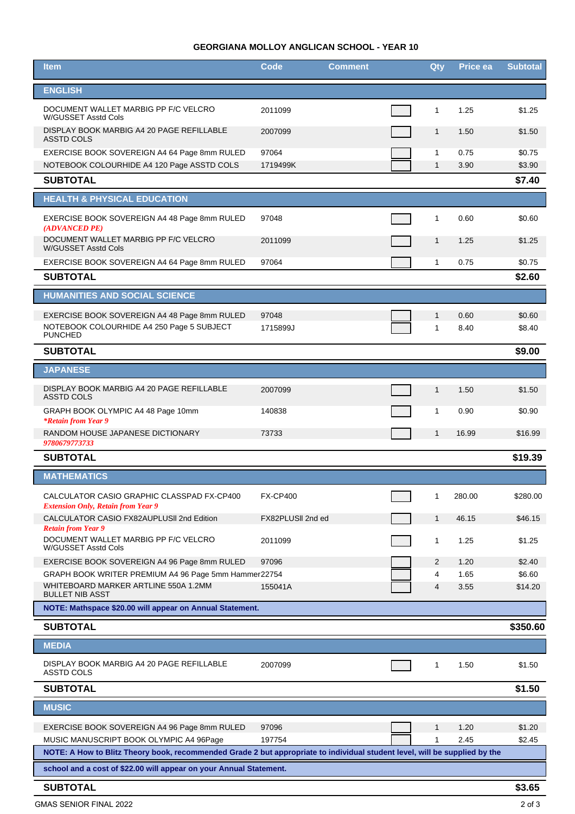## **GEORGIANA MOLLOY ANGLICAN SCHOOL - YEAR 10**

| <b>Item</b>                                                                                                                                                           | <b>Code</b>       | <b>Comment</b> |  | Qty            | Price ea     | <b>Subtotal</b>   |
|-----------------------------------------------------------------------------------------------------------------------------------------------------------------------|-------------------|----------------|--|----------------|--------------|-------------------|
| <b>ENGLISH</b>                                                                                                                                                        |                   |                |  |                |              |                   |
| DOCUMENT WALLET MARBIG PP F/C VELCRO<br>W/GUSSET Asstd Cols                                                                                                           | 2011099           |                |  | $\mathbf{1}$   | 1.25         | \$1.25            |
| DISPLAY BOOK MARBIG A4 20 PAGE REFILLABLE<br><b>ASSTD COLS</b>                                                                                                        | 2007099           |                |  | $\mathbf{1}$   | 1.50         | \$1.50            |
| EXERCISE BOOK SOVEREIGN A4 64 Page 8mm RULED                                                                                                                          | 97064             |                |  | $\mathbf 1$    | 0.75         | \$0.75            |
| NOTEBOOK COLOURHIDE A4 120 Page ASSTD COLS<br><b>SUBTOTAL</b>                                                                                                         | 1719499K          |                |  | $\mathbf{1}$   | 3.90         | \$3.90<br>\$7.40  |
| <b>HEALTH &amp; PHYSICAL EDUCATION</b>                                                                                                                                |                   |                |  |                |              |                   |
| EXERCISE BOOK SOVEREIGN A4 48 Page 8mm RULED                                                                                                                          | 97048             |                |  | $\mathbf{1}$   | 0.60         | \$0.60            |
| (ADVANCED PE)<br>DOCUMENT WALLET MARBIG PP F/C VELCRO                                                                                                                 | 2011099           |                |  | $\mathbf{1}$   | 1.25         | \$1.25            |
| W/GUSSET Asstd Cols<br>EXERCISE BOOK SOVEREIGN A4 64 Page 8mm RULED                                                                                                   | 97064             |                |  | $\mathbf{1}$   | 0.75         | \$0.75            |
| <b>SUBTOTAL</b>                                                                                                                                                       |                   |                |  |                |              | \$2.60            |
| <b>HUMANITIES AND SOCIAL SCIENCE</b>                                                                                                                                  |                   |                |  |                |              |                   |
| EXERCISE BOOK SOVEREIGN A4 48 Page 8mm RULED                                                                                                                          | 97048             |                |  | $\mathbf{1}$   | 0.60         | \$0.60            |
| NOTEBOOK COLOURHIDE A4 250 Page 5 SUBJECT<br><b>PUNCHED</b>                                                                                                           | 1715899J          |                |  | 1              | 8.40         | \$8.40            |
| <b>SUBTOTAL</b>                                                                                                                                                       |                   |                |  |                |              | \$9.00            |
| <b>JAPANESE</b>                                                                                                                                                       |                   |                |  |                |              |                   |
| DISPLAY BOOK MARBIG A4 20 PAGE REFILLABLE<br><b>ASSTD COLS</b>                                                                                                        | 2007099           |                |  | $\mathbf{1}$   | 1.50         | \$1.50            |
| GRAPH BOOK OLYMPIC A4 48 Page 10mm<br><i>*Retain from Year 9</i>                                                                                                      | 140838            |                |  | $\mathbf{1}$   | 0.90         | \$0.90            |
| RANDOM HOUSE JAPANESE DICTIONARY<br>9780679773733                                                                                                                     | 73733             |                |  | $\mathbf{1}$   | 16.99        | \$16.99           |
| <b>SUBTOTAL</b>                                                                                                                                                       |                   |                |  |                |              | \$19.39           |
| <b>MATHEMATICS</b>                                                                                                                                                    |                   |                |  |                |              |                   |
| CALCULATOR CASIO GRAPHIC CLASSPAD FX-CP400<br><b>Extension Only, Retain from Year 9</b>                                                                               | <b>FX-CP400</b>   |                |  | $\mathbf{1}$   | 280.00       | \$280.00          |
| CALCULATOR CASIO FX82AUPLUSII 2nd Edition<br><b>Retain from Year 9</b>                                                                                                | FX82PLUSII 2nd ed |                |  | $\mathbf{1}$   | 46.15        | \$46.15           |
| DOCUMENT WALLET MARBIG PP F/C VELCRO<br>W/GUSSET Asstd Cols                                                                                                           | 2011099           |                |  | 1              | 1.25         | \$1.25            |
| EXERCISE BOOK SOVEREIGN A4 96 Page 8mm RULED                                                                                                                          | 97096             |                |  | $\overline{2}$ | 1.20         | \$2.40            |
| GRAPH BOOK WRITER PREMIUM A4 96 Page 5mm Hammer22754<br>WHITEBOARD MARKER ARTLINE 550A 1.2MM                                                                          | 155041A           |                |  | 4<br>4         | 1.65<br>3.55 | \$6.60<br>\$14.20 |
| <b>BULLET NIB ASST</b>                                                                                                                                                |                   |                |  |                |              |                   |
| NOTE: Mathspace \$20.00 will appear on Annual Statement.<br><b>SUBTOTAL</b>                                                                                           |                   |                |  |                |              | \$350.60          |
| <b>MEDIA</b>                                                                                                                                                          |                   |                |  |                |              |                   |
|                                                                                                                                                                       |                   |                |  |                |              |                   |
| DISPLAY BOOK MARBIG A4 20 PAGE REFILLABLE<br>ASSTD COLS                                                                                                               | 2007099           |                |  | 1              | 1.50         | \$1.50            |
| <b>SUBTOTAL</b>                                                                                                                                                       |                   |                |  |                |              | \$1.50            |
| <b>MUSIC</b>                                                                                                                                                          |                   |                |  |                |              |                   |
| EXERCISE BOOK SOVEREIGN A4 96 Page 8mm RULED                                                                                                                          | 97096             |                |  | $\mathbf{1}$   | 1.20         | \$1.20            |
| MUSIC MANUSCRIPT BOOK OLYMPIC A4 96Page<br>NOTE: A How to Blitz Theory book, recommended Grade 2 but appropriate to individual student level, will be supplied by the | 197754            |                |  | $\mathbf{1}$   | 2.45         | \$2.45            |
| school and a cost of \$22.00 will appear on your Annual Statement.                                                                                                    |                   |                |  |                |              |                   |
| <b>SUBTOTAL</b>                                                                                                                                                       |                   |                |  |                |              | \$3.65            |